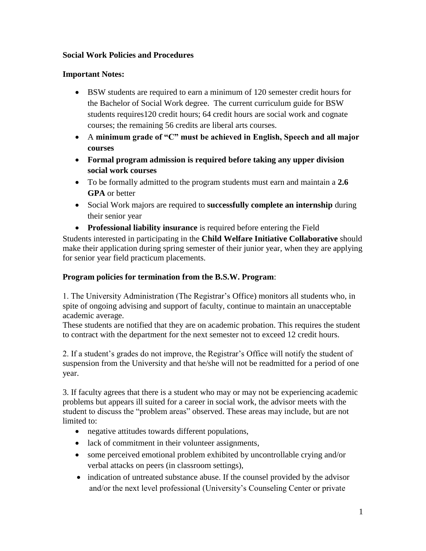## **Social Work Policies and Procedures**

## **Important Notes:**

- BSW students are required to earn a minimum of 120 semester credit hours for the Bachelor of Social Work degree. The current curriculum guide for BSW students requires120 credit hours; 64 credit hours are social work and cognate courses; the remaining 56 credits are liberal arts courses.
- A **minimum grade of "C" must be achieved in English, Speech and all major courses**
- **Formal program admission is required before taking any upper division social work courses**
- To be formally admitted to the program students must earn and maintain a **2.6 GPA** or better
- Social Work majors are required to **successfully complete an internship** during their senior year
- **Professional liability insurance** is required before entering the Field

Students interested in participating in the **Child Welfare Initiative Collaborative** should make their application during spring semester of their junior year, when they are applying for senior year field practicum placements.

## **Program policies for termination from the B.S.W. Program**:

1. The University Administration (The Registrar's Office) monitors all students who, in spite of ongoing advising and support of faculty, continue to maintain an unacceptable academic average.

These students are notified that they are on academic probation. This requires the student to contract with the department for the next semester not to exceed 12 credit hours.

2. If a student's grades do not improve, the Registrar's Office will notify the student of suspension from the University and that he/she will not be readmitted for a period of one year.

3. If faculty agrees that there is a student who may or may not be experiencing academic problems but appears ill suited for a career in social work, the advisor meets with the student to discuss the "problem areas" observed. These areas may include, but are not limited to:

- negative attitudes towards different populations,
- lack of commitment in their volunteer assignments,
- some perceived emotional problem exhibited by uncontrollable crying and/or verbal attacks on peers (in classroom settings),
- indication of untreated substance abuse. If the counsel provided by the advisor and/or the next level professional (University's Counseling Center or private